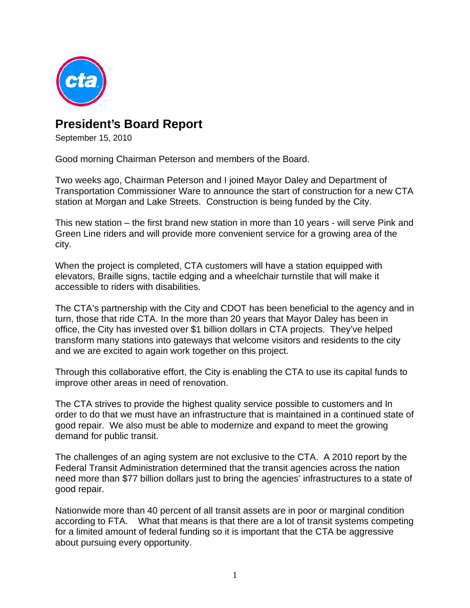

## **President's Board Report**

September 15, 2010

Good morning Chairman Peterson and members of the Board.

Two weeks ago, Chairman Peterson and I joined Mayor Daley and Department of Transportation Commissioner Ware to announce the start of construction for a new CTA station at Morgan and Lake Streets. Construction is being funded by the City.

This new station – the first brand new station in more than 10 years - will serve Pink and Green Line riders and will provide more convenient service for a growing area of the city.

When the project is completed, CTA customers will have a station equipped with elevators, Braille signs, tactile edging and a wheelchair turnstile that will make it accessible to riders with disabilities.

The CTA's partnership with the City and CDOT has been beneficial to the agency and in turn, those that ride CTA. In the more than 20 years that Mayor Daley has been in office, the City has invested over \$1 billion dollars in CTA projects. They've helped transform many stations into gateways that welcome visitors and residents to the city and we are excited to again work together on this project.

Through this collaborative effort, the City is enabling the CTA to use its capital funds to improve other areas in need of renovation.

The CTA strives to provide the highest quality service possible to customers and In order to do that we must have an infrastructure that is maintained in a continued state of good repair. We also must be able to modernize and expand to meet the growing demand for public transit.

The challenges of an aging system are not exclusive to the CTA. A 2010 report by the Federal Transit Administration determined that the transit agencies across the nation need more than \$77 billion dollars just to bring the agencies' infrastructures to a state of good repair.

Nationwide more than 40 percent of all transit assets are in poor or marginal condition according to FTA. What that means is that there are a lot of transit systems competing for a limited amount of federal funding so it is important that the CTA be aggressive about pursuing every opportunity.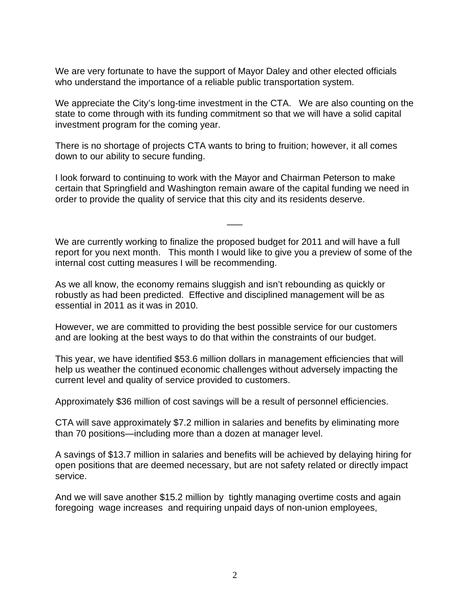We are very fortunate to have the support of Mayor Daley and other elected officials who understand the importance of a reliable public transportation system.

We appreciate the City's long-time investment in the CTA. We are also counting on the state to come through with its funding commitment so that we will have a solid capital investment program for the coming year.

There is no shortage of projects CTA wants to bring to fruition; however, it all comes down to our ability to secure funding.

I look forward to continuing to work with the Mayor and Chairman Peterson to make certain that Springfield and Washington remain aware of the capital funding we need in order to provide the quality of service that this city and its residents deserve.

We are currently working to finalize the proposed budget for 2011 and will have a full report for you next month. This month I would like to give you a preview of some of the internal cost cutting measures I will be recommending.

 $\overline{\phantom{a}}$ 

As we all know, the economy remains sluggish and isn't rebounding as quickly or robustly as had been predicted. Effective and disciplined management will be as essential in 2011 as it was in 2010.

However, we are committed to providing the best possible service for our customers and are looking at the best ways to do that within the constraints of our budget.

This year, we have identified \$53.6 million dollars in management efficiencies that will help us weather the continued economic challenges without adversely impacting the current level and quality of service provided to customers.

Approximately \$36 million of cost savings will be a result of personnel efficiencies.

CTA will save approximately \$7.2 million in salaries and benefits by eliminating more than 70 positions—including more than a dozen at manager level.

A savings of \$13.7 million in salaries and benefits will be achieved by delaying hiring for open positions that are deemed necessary, but are not safety related or directly impact service.

And we will save another \$15.2 million by tightly managing overtime costs and again foregoing wage increases and requiring unpaid days of non-union employees,